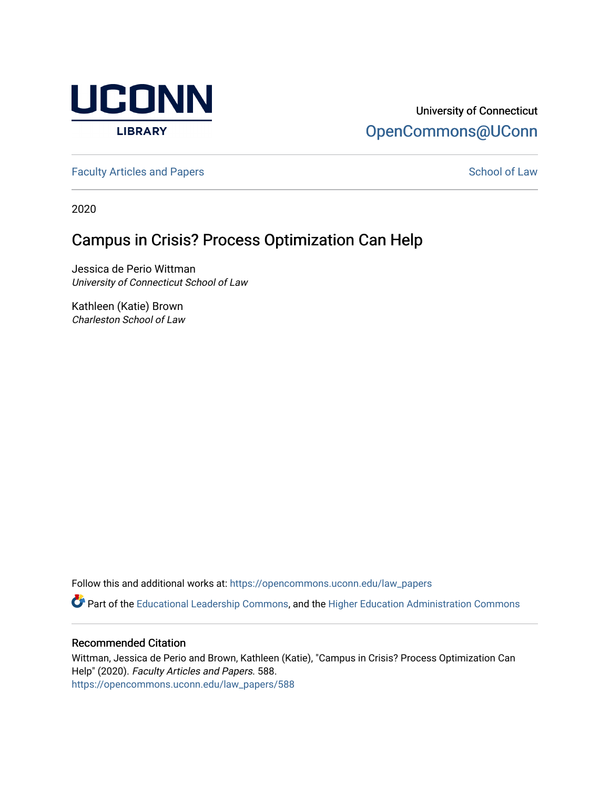

## University of Connecticut [OpenCommons@UConn](https://opencommons.uconn.edu/)

[Faculty Articles and Papers](https://opencommons.uconn.edu/law_papers) **School of Law** School of Law

2020

## Campus in Crisis? Process Optimization Can Help

Jessica de Perio Wittman University of Connecticut School of Law

Kathleen (Katie) Brown Charleston School of Law

Follow this and additional works at: [https://opencommons.uconn.edu/law\\_papers](https://opencommons.uconn.edu/law_papers?utm_source=opencommons.uconn.edu%2Flaw_papers%2F588&utm_medium=PDF&utm_campaign=PDFCoverPages) 

Part of the [Educational Leadership Commons,](https://network.bepress.com/hgg/discipline/1230?utm_source=opencommons.uconn.edu%2Flaw_papers%2F588&utm_medium=PDF&utm_campaign=PDFCoverPages) and the [Higher Education Administration Commons](https://network.bepress.com/hgg/discipline/791?utm_source=opencommons.uconn.edu%2Flaw_papers%2F588&utm_medium=PDF&utm_campaign=PDFCoverPages)

#### Recommended Citation

Wittman, Jessica de Perio and Brown, Kathleen (Katie), "Campus in Crisis? Process Optimization Can Help" (2020). Faculty Articles and Papers. 588. [https://opencommons.uconn.edu/law\\_papers/588](https://opencommons.uconn.edu/law_papers/588?utm_source=opencommons.uconn.edu%2Flaw_papers%2F588&utm_medium=PDF&utm_campaign=PDFCoverPages)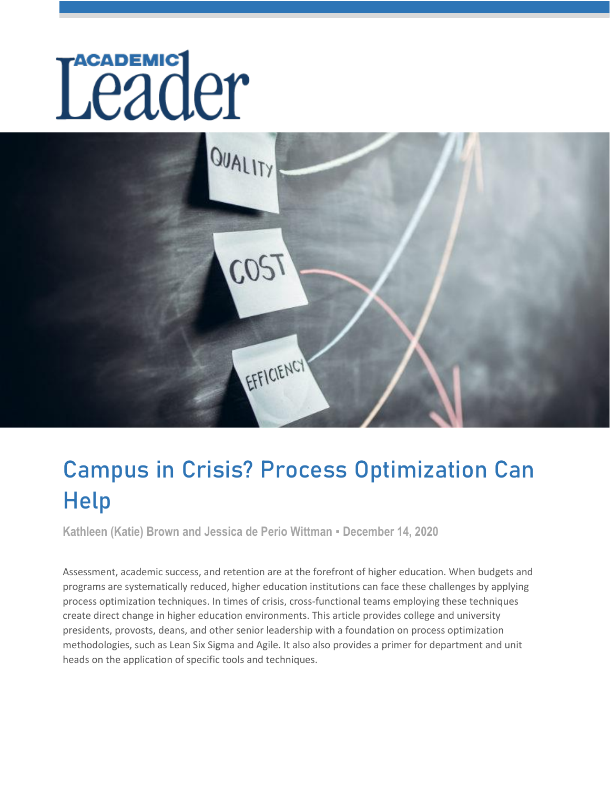# Leader en la Car



# [Campus in Crisis? Process Optimization Can](https://www.academic-leader.com/topics/leadership/campus-in-crisis-process-optimization-can-help/)  Help

**Kathleen (Katie) Brown and Jessica de Perio Wittman ▪ December 14, 2020**

Assessment, academic success, and retention are at the forefront of higher education. When budgets and programs are systematically reduced, higher education institutions can face these challenges by applying process optimization techniques. In times of crisis, cross-functional teams employing these techniques create direct change in higher education environments. This article provides college and university presidents, provosts, deans, and other senior leadership with a foundation on process optimization methodologies, such as Lean Six Sigma and Agile. It also also provides a primer for department and unit heads on the application of specific tools and techniques.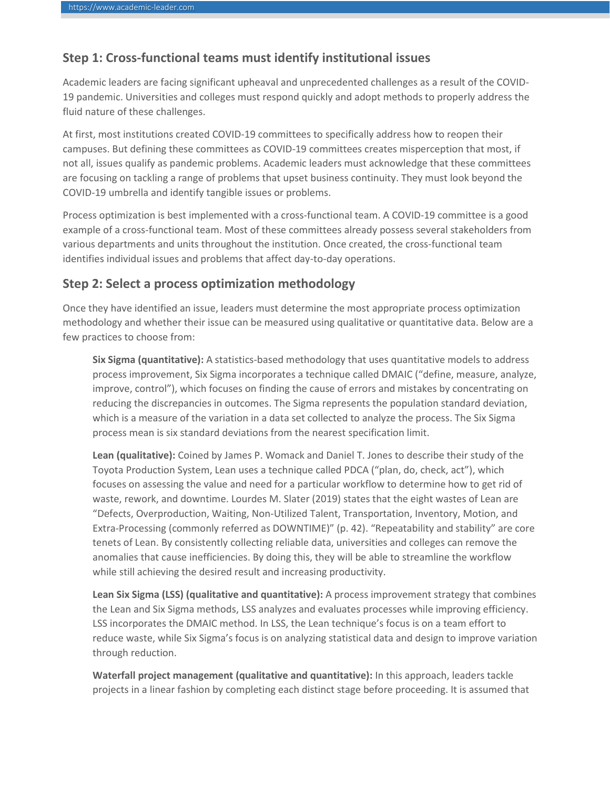#### **Step 1: Cross-functional teams must identify institutional issues**

Academic leaders are facing significant upheaval and unprecedented challenges as a result of the COVID-19 pandemic. Universities and colleges must respond quickly and adopt methods to properly address the fluid nature of these challenges.

At first, most institutions created COVID-19 committees to specifically address how to reopen their campuses. But defining these committees as COVID-19 committees creates misperception that most, if not all, issues qualify as pandemic problems. Academic leaders must acknowledge that these committees are focusing on tackling a range of problems that upset business continuity. They must look beyond the COVID-19 umbrella and identify tangible issues or problems.

Process optimization is best implemented with a cross-functional team. A COVID-19 committee is a good example of a cross-functional team. Most of these committees already possess several stakeholders from various departments and units throughout the institution. Once created, the cross-functional team identifies individual issues and problems that affect day-to-day operations.

#### **Step 2: Select a process optimization methodology**

Once they have identified an issue, leaders must determine the most appropriate process optimization methodology and whether their issue can be measured using qualitative or quantitative data. Below are a few practices to choose from:

**Six Sigma (quantitative):** A statistics-based methodology that uses quantitative models to address process improvement, Six Sigma incorporates a technique called DMAIC ("define, measure, analyze, improve, control"), which focuses on finding the cause of errors and mistakes by concentrating on reducing the discrepancies in outcomes. The Sigma represents the population standard deviation, which is a measure of the variation in a data set collected to analyze the process. The Six Sigma process mean is six standard deviations from the nearest specification limit.

**Lean (qualitative):** Coined by James P. Womack and Daniel T. Jones to describe their study of the Toyota Production System, Lean uses a technique called PDCA ("plan, do, check, act"), which focuses on assessing the value and need for a particular workflow to determine how to get rid of waste, rework, and downtime. Lourdes M. Slater (2019) states that the eight wastes of Lean are "Defects, Overproduction, Waiting, Non-Utilized Talent, Transportation, Inventory, Motion, and Extra-Processing (commonly referred as DOWNTIME)" (p. 42). "Repeatability and stability" are core tenets of Lean. By consistently collecting reliable data, universities and colleges can remove the anomalies that cause inefficiencies. By doing this, they will be able to streamline the workflow while still achieving the desired result and increasing productivity.

**Lean Six Sigma (LSS) (qualitative and quantitative):** A process improvement strategy that combines the Lean and Six Sigma methods, LSS analyzes and evaluates processes while improving efficiency. LSS incorporates the DMAIC method. In LSS, the Lean technique's focus is on a team effort to reduce waste, while Six Sigma's focus is on analyzing statistical data and design to improve variation through reduction.

**Waterfall project management (qualitative and quantitative):** In this approach, leaders tackle projects in a linear fashion by completing each distinct stage before proceeding. It is assumed that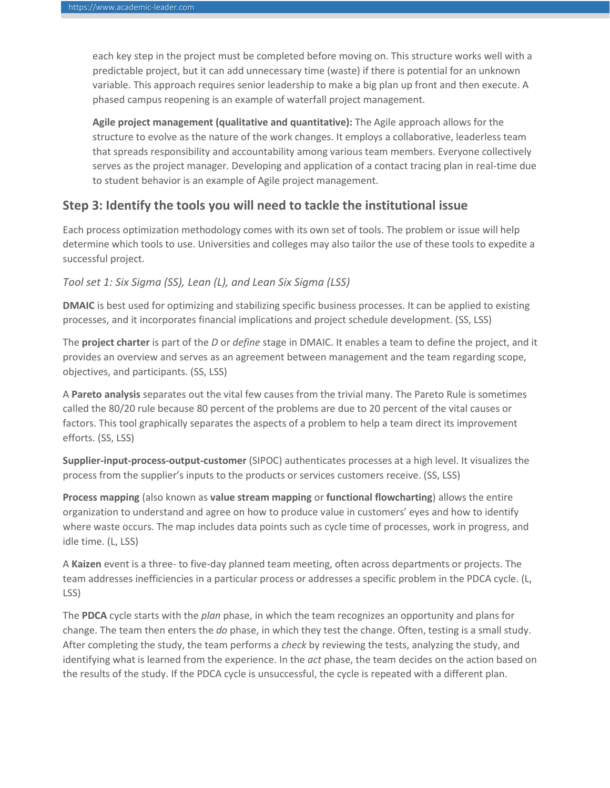each key step in the project must be completed before moving on. This structure works well with a predictable project, but it can add unnecessary time (waste) if there is potential for an unknown variable. This approach requires senior leadership to make a big plan up front and then execute. A phased campus reopening is an example of waterfall project management.

**Agile project management (qualitative and quantitative):** The Agile approach allows for the structure to evolve as the nature of the work changes. It employs a collaborative, leaderless team that spreads responsibility and accountability among various team members. Everyone collectively serves as the project manager. Developing and application of a contact tracing plan in real-time due to student behavior is an example of Agile project management.

#### **Step 3: Identify the tools you will need to tackle the institutional issue**

Each process optimization methodology comes with its own set of tools. The problem or issue will help determine which tools to use. Universities and colleges may also tailor the use of these tools to expedite a successful project.

#### *Tool set 1: Six Sigma (SS), Lean (L), and Lean Six Sigma (LSS)*

**DMAIC** is best used for optimizing and stabilizing specific business processes. It can be applied to existing processes, and it incorporates financial implications and project schedule development. (SS, LSS)

The **project charter** is part of the *D* or *define* stage in DMAIC. It enables a team to define the project, and it provides an overview and serves as an agreement between management and the team regarding scope, objectives, and participants. (SS, LSS)

A **Pareto analysis** separates out the vital few causes from the trivial many. The Pareto Rule is sometimes called the 80/20 rule because 80 percent of the problems are due to 20 percent of the vital causes or factors. This tool graphically separates the aspects of a problem to help a team direct its improvement efforts. (SS, LSS)

**Supplier-input-process-output-customer** (SIPOC) authenticates processes at a high level. It visualizes the process from the supplier's inputs to the products or services customers receive. (SS, LSS)

**Process mapping** (also known as **value stream mapping** or **functional flowcharting**) allows the entire organization to understand and agree on how to produce value in customers' eyes and how to identify where waste occurs. The map includes data points such as cycle time of processes, work in progress, and idle time. (L, LSS)

A **Kaizen** event is a three- to five-day planned team meeting, often across departments or projects. The team addresses inefficiencies in a particular process or addresses a specific problem in the PDCA cycle. (L, LSS)

The **PDCA** cycle starts with the *plan* phase, in which the team recognizes an opportunity and plans for change. The team then enters the *do* phase, in which they test the change. Often, testing is a small study. After completing the study, the team performs a *check* by reviewing the tests, analyzing the study, and identifying what is learned from the experience. In the *act* phase, the team decides on the action based on the results of the study. If the PDCA cycle is unsuccessful, the cycle is repeated with a different plan.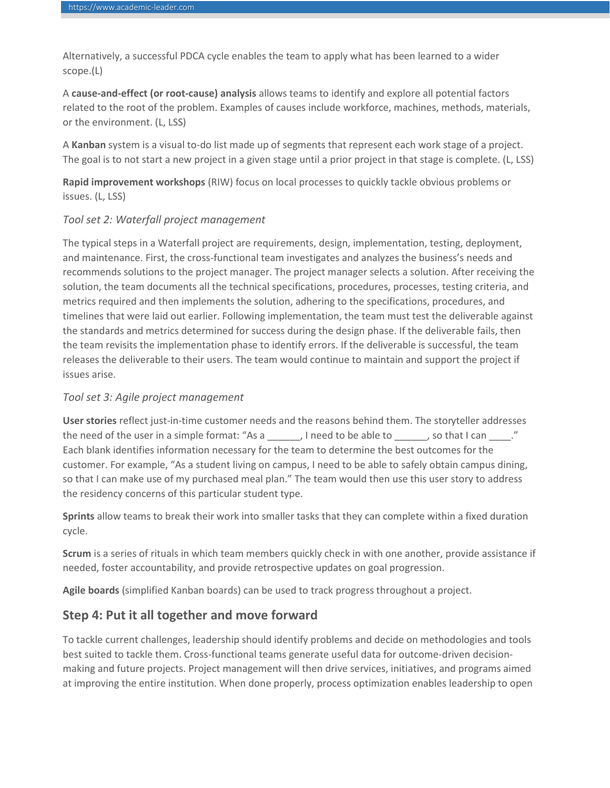Alternatively, a successful PDCA cycle enables the team to apply what has been learned to a wider scope.(L)

A **cause-and-effect (or root-cause) analysis** allows teams to identify and explore all potential factors related to the root of the problem. Examples of causes include workforce, machines, methods, materials, or the environment. (L, LSS)

A **Kanban** system is a visual to-do list made up of segments that represent each work stage of a project. The goal is to not start a new project in a given stage until a prior project in that stage is complete. (L, LSS)

**Rapid improvement workshops** (RIW) focus on local processes to quickly tackle obvious problems or issues. (L, LSS)

#### *Tool set 2: Waterfall project management*

The typical steps in a Waterfall project are requirements, design, implementation, testing, deployment, and maintenance. First, the cross-functional team investigates and analyzes the business's needs and recommends solutions to the project manager. The project manager selects a solution. After receiving the solution, the team documents all the technical specifications, procedures, processes, testing criteria, and metrics required and then implements the solution, adhering to the specifications, procedures, and timelines that were laid out earlier. Following implementation, the team must test the deliverable against the standards and metrics determined for success during the design phase. If the deliverable fails, then the team revisits the implementation phase to identify errors. If the deliverable is successful, the team releases the deliverable to their users. The team would continue to maintain and support the project if issues arise.

#### *Tool set 3: Agile project management*

**User stories** reflect just-in-time customer needs and the reasons behind them. The storyteller addresses the need of the user in a simple format: "As a \_\_\_\_\_\_, I need to be able to \_\_\_\_\_\_, so that I can \_\_\_\_." Each blank identifies information necessary for the team to determine the best outcomes for the customer. For example, "As a student living on campus, I need to be able to safely obtain campus dining, so that I can make use of my purchased meal plan." The team would then use this user story to address the residency concerns of this particular student type.

**Sprints** allow teams to break their work into smaller tasks that they can complete within a fixed duration cycle.

**Scrum** is a series of rituals in which team members quickly check in with one another, provide assistance if needed, foster accountability, and provide retrospective updates on goal progression.

**Agile boards** (simplified Kanban boards) can be used to track progress throughout a project.

#### **Step 4: Put it all together and move forward**

To tackle current challenges, leadership should identify problems and decide on methodologies and tools best suited to tackle them. Cross-functional teams generate useful data for outcome-driven decisionmaking and future projects. Project management will then drive services, initiatives, and programs aimed at improving the entire institution. When done properly, process optimization enables leadership to open